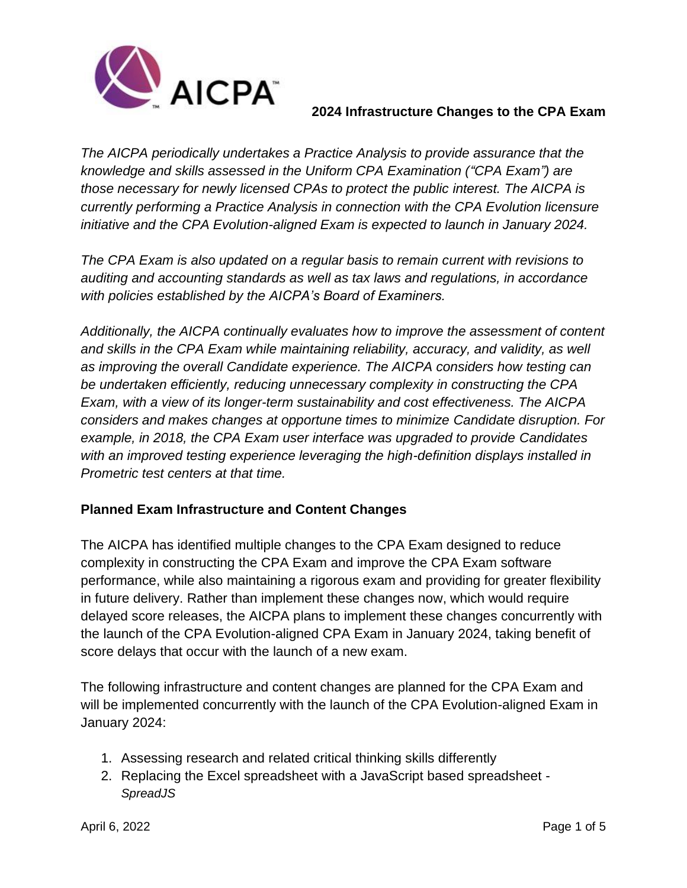

*The AICPA periodically undertakes a Practice Analysis to provide assurance that the knowledge and skills assessed in the Uniform CPA Examination ("CPA Exam") are those necessary for newly licensed CPAs to protect the public interest. The AICPA is currently performing a Practice Analysis in connection with the CPA Evolution licensure initiative and the CPA Evolution-aligned Exam is expected to launch in January 2024.*

*The CPA Exam is also updated on a regular basis to remain current with revisions to auditing and accounting standards as well as tax laws and regulations, in accordance with policies established by the AICPA's Board of Examiners.*

*Additionally, the AICPA continually evaluates how to improve the assessment of content and skills in the CPA Exam while maintaining reliability, accuracy, and validity, as well as improving the overall Candidate experience. The AICPA considers how testing can be undertaken efficiently, reducing unnecessary complexity in constructing the CPA Exam, with a view of its longer-term sustainability and cost effectiveness. The AICPA considers and makes changes at opportune times to minimize Candidate disruption. For example, in 2018, the CPA Exam user interface was upgraded to provide Candidates with an improved testing experience leveraging the high-definition displays installed in Prometric test centers at that time.*

# **Planned Exam Infrastructure and Content Changes**

The AICPA has identified multiple changes to the CPA Exam designed to reduce complexity in constructing the CPA Exam and improve the CPA Exam software performance, while also maintaining a rigorous exam and providing for greater flexibility in future delivery. Rather than implement these changes now, which would require delayed score releases, the AICPA plans to implement these changes concurrently with the launch of the CPA Evolution-aligned CPA Exam in January 2024, taking benefit of score delays that occur with the launch of a new exam.

The following infrastructure and content changes are planned for the CPA Exam and will be implemented concurrently with the launch of the CPA Evolution-aligned Exam in January 2024:

- 1. Assessing research and related critical thinking skills differently
- 2. Replacing the Excel spreadsheet with a JavaScript based spreadsheet *SpreadJS*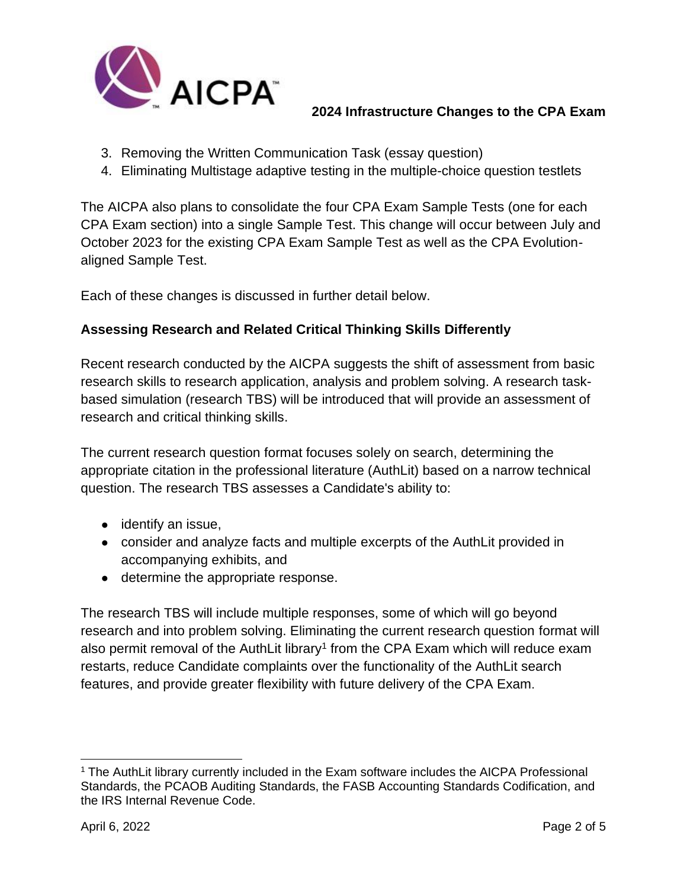

- 3. Removing the Written Communication Task (essay question)
- 4. Eliminating Multistage adaptive testing in the multiple-choice question testlets

The AICPA also plans to consolidate the four CPA Exam Sample Tests (one for each CPA Exam section) into a single Sample Test. This change will occur between July and October 2023 for the existing CPA Exam Sample Test as well as the CPA Evolutionaligned Sample Test.

Each of these changes is discussed in further detail below.

# **Assessing Research and Related Critical Thinking Skills Differently**

Recent research conducted by the AICPA suggests the shift of assessment from basic research skills to research application, analysis and problem solving. A research taskbased simulation (research TBS) will be introduced that will provide an assessment of research and critical thinking skills.

The current research question format focuses solely on search, determining the appropriate citation in the professional literature (AuthLit) based on a narrow technical question. The research TBS assesses a Candidate's ability to:

- identify an issue,
- consider and analyze facts and multiple excerpts of the AuthLit provided in accompanying exhibits, and
- determine the appropriate response.

The research TBS will include multiple responses, some of which will go beyond research and into problem solving. Eliminating the current research question format will also permit removal of the AuthLit library<sup>1</sup> from the CPA Exam which will reduce exam restarts, reduce Candidate complaints over the functionality of the AuthLit search features, and provide greater flexibility with future delivery of the CPA Exam.

<sup>&</sup>lt;sup>1</sup> The AuthLit library currently included in the Exam software includes the AICPA Professional Standards, the PCAOB Auditing Standards, the FASB Accounting Standards Codification, and the IRS Internal Revenue Code.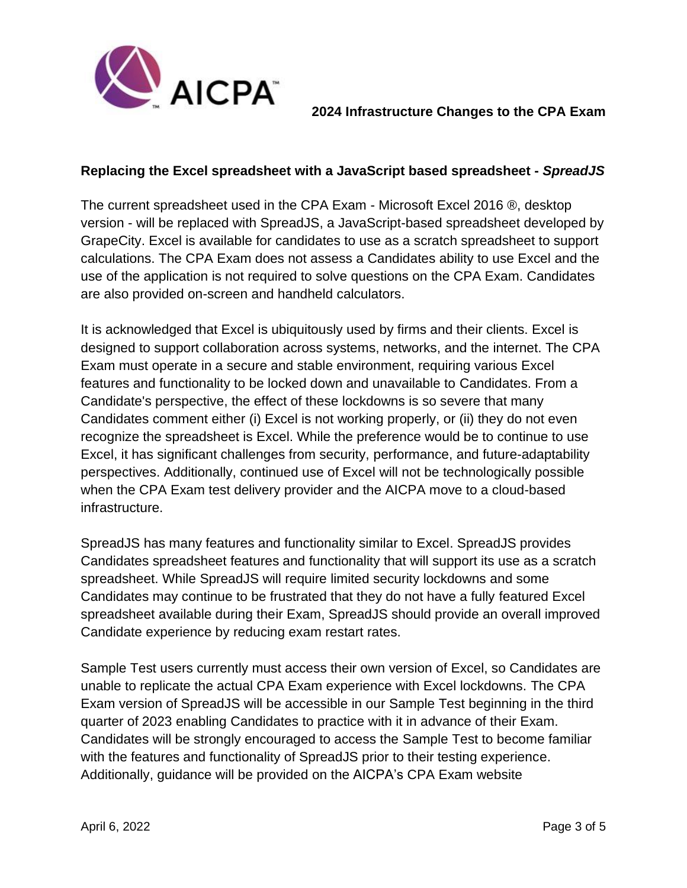

## **Replacing the Excel spreadsheet with a JavaScript based spreadsheet -** *SpreadJS*

The current spreadsheet used in the CPA Exam - Microsoft Excel 2016 ®, desktop version - will be replaced with SpreadJS, a JavaScript-based spreadsheet developed by GrapeCity. Excel is available for candidates to use as a scratch spreadsheet to support calculations. The CPA Exam does not assess a Candidates ability to use Excel and the use of the application is not required to solve questions on the CPA Exam. Candidates are also provided on-screen and handheld calculators.

It is acknowledged that Excel is ubiquitously used by firms and their clients. Excel is designed to support collaboration across systems, networks, and the internet. The CPA Exam must operate in a secure and stable environment, requiring various Excel features and functionality to be locked down and unavailable to Candidates. From a Candidate's perspective, the effect of these lockdowns is so severe that many Candidates comment either (i) Excel is not working properly, or (ii) they do not even recognize the spreadsheet is Excel. While the preference would be to continue to use Excel, it has significant challenges from security, performance, and future-adaptability perspectives. Additionally, continued use of Excel will not be technologically possible when the CPA Exam test delivery provider and the AICPA move to a cloud-based infrastructure.

SpreadJS has many features and functionality similar to Excel. SpreadJS provides Candidates spreadsheet features and functionality that will support its use as a scratch spreadsheet. While SpreadJS will require limited security lockdowns and some Candidates may continue to be frustrated that they do not have a fully featured Excel spreadsheet available during their Exam, SpreadJS should provide an overall improved Candidate experience by reducing exam restart rates.

Sample Test users currently must access their own version of Excel, so Candidates are unable to replicate the actual CPA Exam experience with Excel lockdowns. The CPA Exam version of SpreadJS will be accessible in our Sample Test beginning in the third quarter of 2023 enabling Candidates to practice with it in advance of their Exam. Candidates will be strongly encouraged to access the Sample Test to become familiar with the features and functionality of SpreadJS prior to their testing experience. Additionally, guidance will be provided on the AICPA's CPA Exam website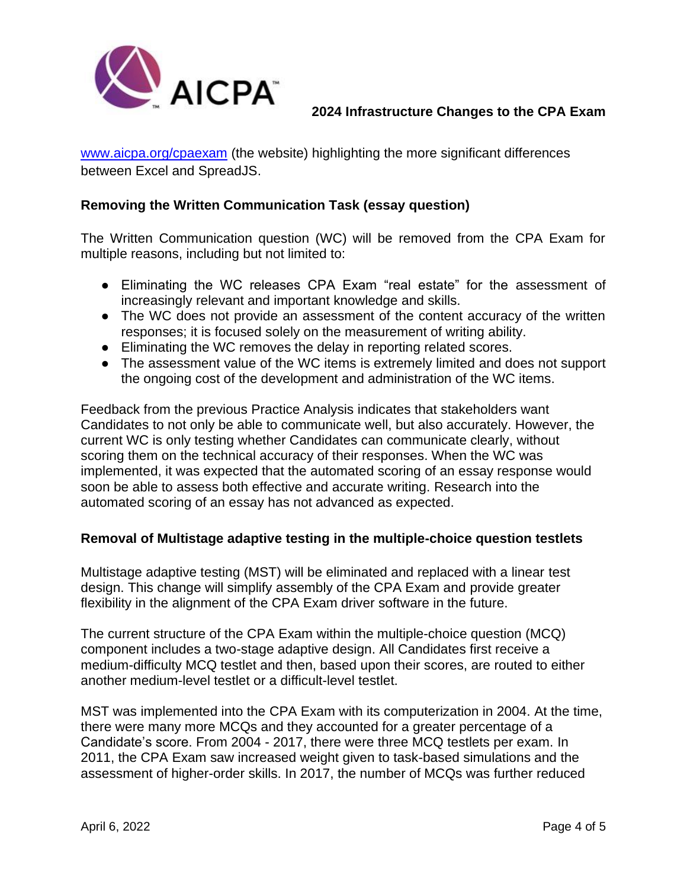

[www.aicpa.org/cpaexam](http://www.aicpa.org/cpaexam) (the website) highlighting the more significant differences between Excel and SpreadJS.

#### **Removing the Written Communication Task (essay question)**

The Written Communication question (WC) will be removed from the CPA Exam for multiple reasons, including but not limited to:

- Eliminating the WC releases CPA Exam "real estate" for the assessment of increasingly relevant and important knowledge and skills.
- The WC does not provide an assessment of the content accuracy of the written responses; it is focused solely on the measurement of writing ability.
- Eliminating the WC removes the delay in reporting related scores.
- The assessment value of the WC items is extremely limited and does not support the ongoing cost of the development and administration of the WC items.

Feedback from the previous Practice Analysis indicates that stakeholders want Candidates to not only be able to communicate well, but also accurately. However, the current WC is only testing whether Candidates can communicate clearly, without scoring them on the technical accuracy of their responses. When the WC was implemented, it was expected that the automated scoring of an essay response would soon be able to assess both effective and accurate writing. Research into the automated scoring of an essay has not advanced as expected.

#### **Removal of Multistage adaptive testing in the multiple-choice question testlets**

Multistage adaptive testing (MST) will be eliminated and replaced with a linear test design. This change will simplify assembly of the CPA Exam and provide greater flexibility in the alignment of the CPA Exam driver software in the future.

The current structure of the CPA Exam within the multiple-choice question (MCQ) component includes a two-stage adaptive design. All Candidates first receive a medium-difficulty MCQ testlet and then, based upon their scores, are routed to either another medium-level testlet or a difficult-level testlet.

MST was implemented into the CPA Exam with its computerization in 2004. At the time, there were many more MCQs and they accounted for a greater percentage of a Candidate's score. From 2004 - 2017, there were three MCQ testlets per exam. In 2011, the CPA Exam saw increased weight given to task-based simulations and the assessment of higher-order skills. In 2017, the number of MCQs was further reduced